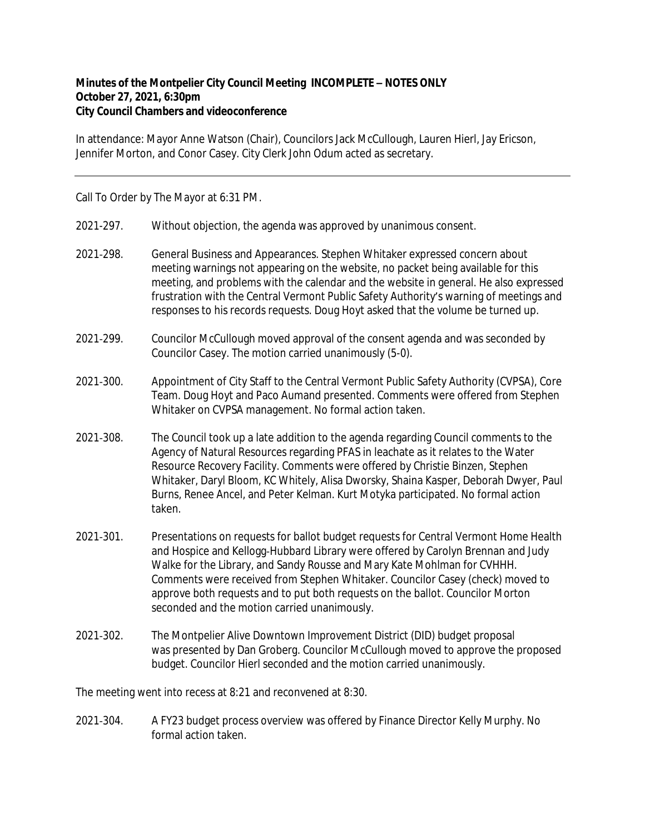## **Minutes of the Montpelier City Council Meeting INCOMPLETE – NOTES ONLY October 27, 2021, 6:30pm City Council Chambers and videoconference**

In attendance: Mayor Anne Watson (Chair), Councilors Jack McCullough, Lauren Hierl, Jay Ericson, Jennifer Morton, and Conor Casey. City Clerk John Odum acted as secretary.

Call To Order by The Mayor at 6:31 PM.

- 2021-297. Without objection, the agenda was approved by unanimous consent.
- 2021‐298. General Business and Appearances. Stephen Whitaker expressed concern about meeting warnings not appearing on the website, no packet being available for this meeting, and problems with the calendar and the website in general. He also expressed frustration with the Central Vermont Public Safety Authority's warning of meetings and responses to his records requests. Doug Hoyt asked that the volume be turned up.
- 2021‐299. Councilor McCullough moved approval of the consent agenda and was seconded by Councilor Casey. The motion carried unanimously (5-0).
- 2021‐300. Appointment of City Staff to the Central Vermont Public Safety Authority (CVPSA), Core Team. Doug Hoyt and Paco Aumand presented. Comments were offered from Stephen Whitaker on CVPSA management. No formal action taken.
- 2021‐308. The Council took up a late addition to the agenda regarding Council comments to the Agency of Natural Resources regarding PFAS in leachate as it relates to the Water Resource Recovery Facility. Comments were offered by Christie Binzen, Stephen Whitaker, Daryl Bloom, KC Whitely, Alisa Dworsky, Shaina Kasper, Deborah Dwyer, Paul Burns, Renee Ancel, and Peter Kelman. Kurt Motyka participated. No formal action taken.
- 2021‐301. Presentations on requests for ballot budget requests for Central Vermont Home Health and Hospice and Kellogg‐Hubbard Library were offered by Carolyn Brennan and Judy Walke for the Library, and Sandy Rousse and Mary Kate Mohlman for CVHHH. Comments were received from Stephen Whitaker. Councilor Casey (check) moved to approve both requests and to put both requests on the ballot. Councilor Morton seconded and the motion carried unanimously.
- 2021‐302. The Montpelier Alive Downtown Improvement District (DID) budget proposal was presented by Dan Groberg. Councilor McCullough moved to approve the proposed budget. Councilor Hierl seconded and the motion carried unanimously.

The meeting went into recess at 8:21 and reconvened at 8:30.

2021‐304. A FY23 budget process overview was offered by Finance Director Kelly Murphy. No formal action taken.